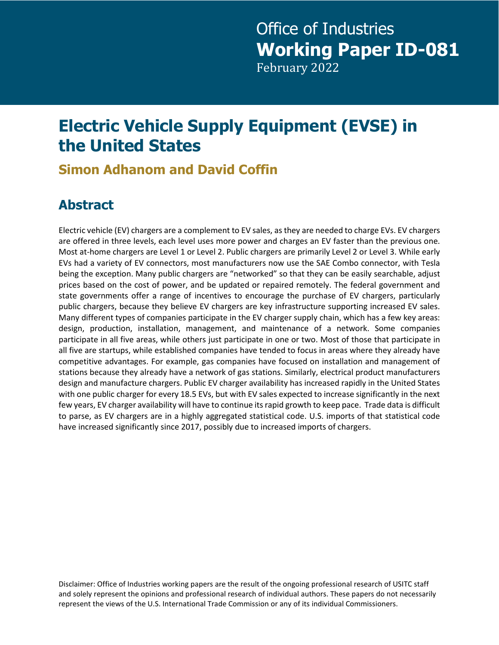# **Electric Vehicle Supply Equipment (EVSE) in the United States**

## **Simon Adhanom and David Coffin**

# **Abstract**

Electric vehicle (EV) chargers are a complement to EV sales, as they are needed to charge EVs. EV chargers are offered in three levels, each level uses more power and charges an EV faster than the previous one. Most at-home chargers are Level 1 or Level 2. Public chargers are primarily Level 2 or Level 3. While early EVs had a variety of EV connectors, most manufacturers now use the SAE Combo connector, with Tesla being the exception. Many public chargers are "networked" so that they can be easily searchable, adjust prices based on the cost of power, and be updated or repaired remotely. The federal government and state governments offer a range of incentives to encourage the purchase of EV chargers, particularly public chargers, because they believe EV chargers are key infrastructure supporting increased EV sales. Many different types of companies participate in the EV charger supply chain, which has a few key areas: design, production, installation, management, and maintenance of a network. Some companies participate in all five areas, while others just participate in one or two. Most of those that participate in all five are startups, while established companies have tended to focus in areas where they already have competitive advantages. For example, gas companies have focused on installation and management of stations because they already have a network of gas stations. Similarly, electrical product manufacturers design and manufacture chargers. Public EV charger availability has increased rapidly in the United States with one public charger for every 18.5 EVs, but with EV sales expected to increase significantly in the next few years, EV charger availability will have to continue its rapid growth to keep pace. Trade data is difficult to parse, as EV chargers are in a highly aggregated statistical code. U.S. imports of that statistical code have increased significantly since 2017, possibly due to increased imports of chargers.

Disclaimer: Office of Industries working papers are the result of the ongoing professional research of USITC staff and solely represent the opinions and professional research of individual authors. These papers do not necessarily represent the views of the U.S. International Trade Commission or any of its individual Commissioners.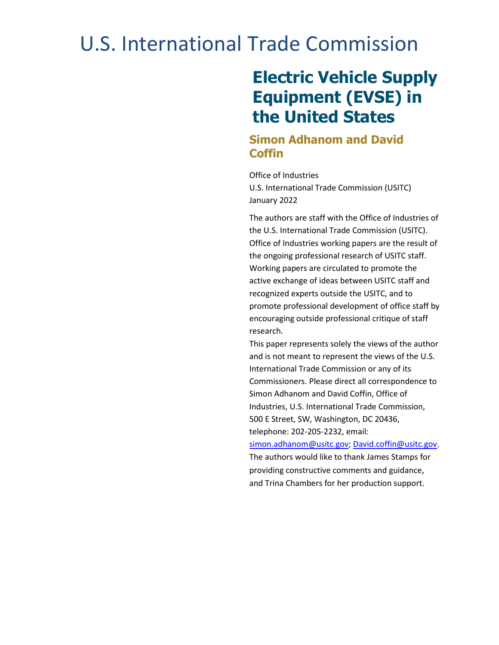# U.S. International Trade Commission

# **Electric Vehicle Supply Equipment (EVSE) in the United States**

#### **Simon Adhanom and David Coffin**

Office of Industries U.S. International Trade Commission (USITC) January 2022

The authors are staff with the Office of Industries of the U.S. International Trade Commission (USITC). Office of Industries working papers are the result of the ongoing professional research of USITC staff. Working papers are circulated to promote the active exchange of ideas between USITC staff and recognized experts outside the USITC, and to promote professional development of office staff by encouraging outside professional critique of staff research.

This paper represents solely the views of the author and is not meant to represent the views of the U.S. International Trade Commission or any of its Commissioners. Please direct all correspondence to Simon Adhanom and David Coffin, Office of Industries, U.S. International Trade Commission, 500 E Street, SW, Washington, DC 20436, telephone: 202-205-2232, email:

[simon.adhanom@usitc.gov;](mailto:simon.adhanom@usitc.gov) [David.coffin@usitc.gov.](mailto:David.coffin@usitc.gov) The authors would like to thank James Stamps for providing constructive comments and guidance, and Trina Chambers for her production support.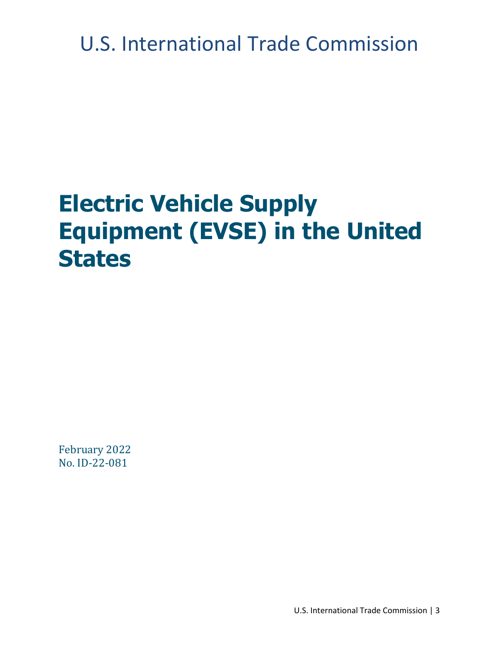U.S. International Trade Commission

# **Electric Vehicle Supply Equipment (EVSE) in the United States**

February 2022 No. ID-22-081

U.S. International Trade Commission | 3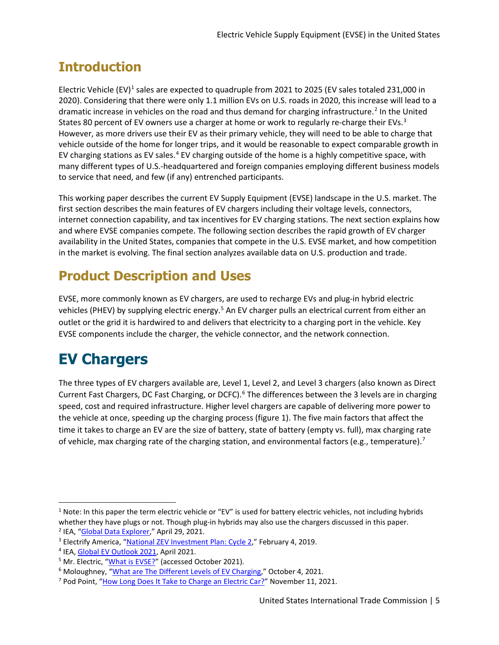# **Introduction**

Electric Vehicle (EV)<sup>[1](#page-4-0)</sup> sales are expected to quadruple from 2021 to 2025 (EV sales totaled 231,000 in 2020). Considering that there were only 1.1 million EVs on U.S. roads in 2020, this increase will lead to a dramatic increase in vehicles on the road and thus demand for charging infrastructure.<sup>[2](#page-4-1)</sup> In the United States 80 percent of EV owners use a charger at home or work to regularly re-charge their EVs.<sup>[3](#page-4-2)</sup> However, as more drivers use their EV as their primary vehicle, they will need to be able to charge that vehicle outside of the home for longer trips, and it would be reasonable to expect comparable growth in EV charging stations as EV sales.<sup>[4](#page-4-3)</sup> EV charging outside of the home is a highly competitive space, with many different types of U.S.-headquartered and foreign companies employing different business models to service that need, and few (if any) entrenched participants.

This working paper describes the current EV Supply Equipment (EVSE) landscape in the U.S. market. The first section describes the main features of EV chargers including their voltage levels, connectors, internet connection capability, and tax incentives for EV charging stations. The next section explains how and where EVSE companies compete. The following section describes the rapid growth of EV charger availability in the United States, companies that compete in the U.S. EVSE market, and how competition in the market is evolving. The final section analyzes available data on U.S. production and trade.

# **Product Description and Uses**

EVSE, more commonly known as EV chargers, are used to recharge EVs and plug-in hybrid electric vehicles (PHEV) by supplying electric energy.<sup>[5](#page-4-4)</sup> An EV charger pulls an electrical current from either an outlet or the grid it is hardwired to and delivers that electricity to a charging port in the vehicle. Key EVSE components include the charger, the vehicle connector, and the network connection.

# **EV Chargers**

The three types of EV chargers available are, Level 1, Level 2, and Level 3 chargers (also known as Direct Current Fast Chargers, DC Fast Charging, or DCFC).<sup>[6](#page-4-5)</sup> The differences between the 3 levels are in charging speed, cost and required infrastructure. Higher level chargers are capable of delivering more power to the vehicle at once, speeding up the charging process (figure 1). The five main factors that affect the time it takes to charge an EV are the size of battery, state of battery (empty vs. full), max charging rate of vehicle, max charging rate of the charging station, and environmental factors (e.g., temperature).<sup>[7](#page-4-6)</sup>

<span id="page-4-0"></span> $1$  Note: In this paper the term electric vehicle or "EV" is used for battery electric vehicles, not including hybrids whether they have plugs or not. Though plug-in hybrids may also use the chargers discussed in this paper.

<span id="page-4-1"></span><sup>&</sup>lt;sup>2</sup> IEA, ["Global Data Explorer,"](https://www.iea.org/articles/global-ev-data-explorer) April 29, 2021.

<span id="page-4-2"></span><sup>&</sup>lt;sup>3</sup> Electrify America, ["National ZEV Investment Plan: Cycle 2,](https://www.electrifyamerica.com/assets/pdf/Cycle%202%20National%20ZEV%20Investment%20Plan%20-%20Public%20Version%20vF.50bb1fe0.pdf)" February 4, 2019.

<span id="page-4-3"></span><sup>&</sup>lt;sup>4</sup> IEA[, Global EV Outlook 2021,](https://iea.blob.core.windows.net/assets/ed5f4484-f556-4110-8c5c-4ede8bcba637/GlobalEVOutlook2021.pdf) April 2021.

<span id="page-4-4"></span><sup>&</sup>lt;sup>5</sup> Mr. Electric, ["What is EVSE?"](https://mrelectric.com/what-is-evse) (accessed October 2021).

<span id="page-4-5"></span><sup>&</sup>lt;sup>6</sup> Moloughney, ["What are The Different Levels of EV Charging,"](https://www.forbes.com/wheels/advice/ev-charging-levels/) October 4, 2021.

<span id="page-4-6"></span><sup>&</sup>lt;sup>7</sup> Pod Point, ["How Long Does It Take to Charge an Electric Car?"](https://pod-point.com/guides/driver/how-long-to-charge-an-electric-car) November 11, 2021.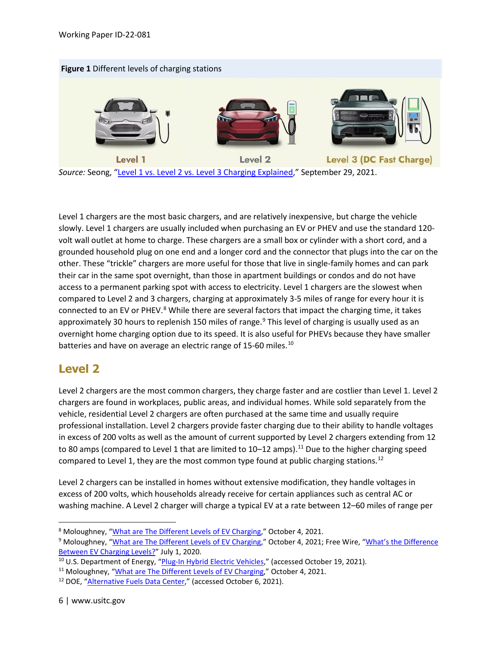



*Source:* Seong, ["Level 1 vs. Level 2 vs. Level 3 Charging Explained,](https://www.lifewire.com/ev-charging-levels-explained-5201716)" September 29, 2021.

Level 1 chargers are the most basic chargers, and are relatively inexpensive, but charge the vehicle slowly. Level 1 chargers are usually included when purchasing an EV or PHEV and use the standard 120 volt wall outlet at home to charge. These chargers are a small box or cylinder with a short cord, and a grounded household plug on one end and a longer cord and the connector that plugs into the car on the other. These "trickle" chargers are more useful for those that live in single-family homes and can park their car in the same spot overnight, than those in apartment buildings or condos and do not have access to a permanent parking spot with access to electricity. Level 1 chargers are the slowest when compared to Level 2 and 3 chargers, charging at approximately 3-5 miles of range for every hour it is connected to an EV or PHEV. $8$  While there are several factors that impact the charging time, it takes approximately 30 hours to replenish 150 miles of range.<sup>[9](#page-5-1)</sup> This level of charging is usually used as an overnight home charging option due to its speed. It is also useful for PHEVs because they have smaller batteries and have on average an electric range of 15-60 miles.<sup>[10](#page-5-2)</sup>

#### **Level 2**

Level 2 chargers are the most common chargers, they charge faster and are costlier than Level 1. Level 2 chargers are found in workplaces, public areas, and individual homes. While sold separately from the vehicle, residential Level 2 chargers are often purchased at the same time and usually require professional installation. Level 2 chargers provide faster charging due to their ability to handle voltages in excess of 200 volts as well as the amount of current supported by Level 2 chargers extending from 12 to 80 amps (compared to Level 1 that are limited to  $10-12$  amps).<sup>[11](#page-5-3)</sup> Due to the higher charging speed compared to Level 1, they are the most common type found at public charging stations.<sup>[12](#page-5-4)</sup>

Level 2 chargers can be installed in homes without extensive modification, they handle voltages in excess of 200 volts, which households already receive for certain appliances such as central AC or washing machine. A Level 2 charger will charge a typical EV at a rate between 12–60 miles of range per

<span id="page-5-0"></span><sup>&</sup>lt;sup>8</sup> Moloughney, ["What are The Different Levels of EV Charging,"](https://www.forbes.com/wheels/advice/ev-charging-levels/) October 4, 2021.

<span id="page-5-1"></span><sup>&</sup>lt;sup>9</sup> Moloughney, ["What are The Different Levels of EV Charging,"](https://www.forbes.com/wheels/advice/ev-charging-levels/) October 4, 2021; Free Wire, "What's the Difference [Between EV Charging Levels?"](https://freewiretech.com/difference-between-ev-charging-levels/) July 1, 2020.

<span id="page-5-2"></span><sup>&</sup>lt;sup>10</sup> U.S. Department of Energy, ["Plug-In Hybrid Electric Vehicles,](https://afdc.energy.gov/vehicles/electric_basics_phev.html)" (accessed October 19, 2021).

<span id="page-5-3"></span><sup>&</sup>lt;sup>11</sup> Moloughney, ["What are The Different Levels of EV Charging,](https://www.forbes.com/wheels/advice/ev-charging-levels/)" October 4, 2021.

<span id="page-5-4"></span><sup>12</sup> DOE, ["Alternative Fuels Data Center,](https://afdc.energy.gov/fuels/electricity_locations.html)" (accessed October 6, 2021).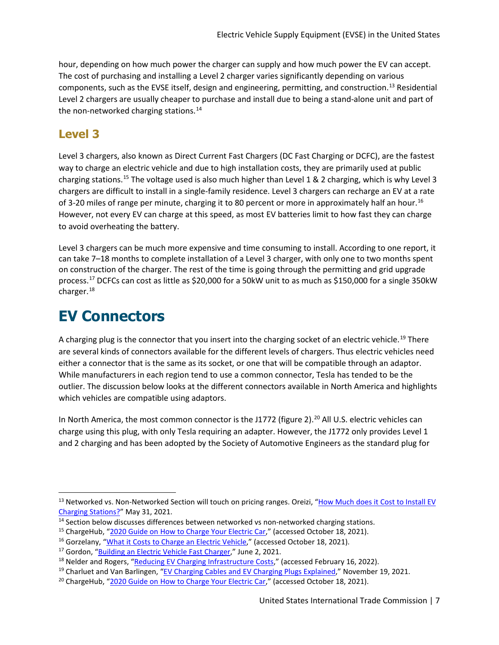hour, depending on how much power the charger can supply and how much power the EV can accept. The cost of purchasing and installing a Level 2 charger varies significantly depending on various components, such as the EVSE itself, design and engineering, permitting, and construction.[13](#page-6-0) Residential Level 2 chargers are usually cheaper to purchase and install due to being a stand-alone unit and part of the non-networked charging stations.<sup>[14](#page-6-1)</sup>

#### **Level 3**

Level 3 chargers, also known as Direct Current Fast Chargers (DC Fast Charging or DCFC), are the fastest way to charge an electric vehicle and due to high installation costs, they are primarily used at public charging stations.[15](#page-6-2) The voltage used is also much higher than Level 1 & 2 charging, which is why Level 3 chargers are difficult to install in a single-family residence. Level 3 chargers can recharge an EV at a rate of 3-20 miles of range per minute, charging it to 80 percent or more in approximately half an hour.<sup>[16](#page-6-3)</sup> However, not every EV can charge at this speed, as most EV batteries limit to how fast they can charge to avoid overheating the battery.

Level 3 chargers can be much more expensive and time consuming to install. According to one report, it can take 7–18 months to complete installation of a Level 3 charger, with only one to two months spent on construction of the charger. The rest of the time is going through the permitting and grid upgrade process.<sup>17</sup> DCFCs can cost as little as \$20,000 for a 50kW unit to as much as \$150,000 for a single 350kW charger. [18](#page-6-5)

# **EV Connectors**

A charging plug is the connector that you insert into the charging socket of an electric vehicle.<sup>[19](#page-6-6)</sup> There are several kinds of connectors available for the different levels of chargers. Thus electric vehicles need either a connector that is the same as its socket, or one that will be compatible through an adaptor. While manufacturers in each region tend to use a common connector, Tesla has tended to be the outlier. The discussion below looks at the different connectors available in North America and highlights which vehicles are compatible using adaptors.

In North America, the most common connector is the J1772 (figure 2).<sup>[20](#page-6-7)</sup> All U.S. electric vehicles can charge using this plug, with only Tesla requiring an adapter. However, the J1772 only provides Level 1 and 2 charging and has been adopted by the Society of Automotive Engineers as the standard plug for

<span id="page-6-0"></span><sup>&</sup>lt;sup>13</sup> Networked vs. Non-Networked Section will touch on pricing ranges. Oreizi, "How Much does it Cost to Install EV [Charging Stations?"](https://www.chargedfuture.com/cost-to-install-ev-charging-stations/) May 31, 2021.

<span id="page-6-1"></span> $14$  Section below discusses differences between networked vs non-networked charging stations.

<span id="page-6-2"></span><sup>&</sup>lt;sup>15</sup> ChargeHub, ["2020 Guide on How to Charge Your Electric Car,](https://chargehub.com/en/electric-car-charging-guide.html)" (accessed October 18, 2021).

<span id="page-6-3"></span><sup>&</sup>lt;sup>16</sup> Gorzelany, ["What it Costs to Charge an Electric Vehicle,](https://www.myev.com/research/ev-101/what-it-costs-to-charge-an-electric-vehicle)" (accessed October 18, 2021).

<span id="page-6-4"></span><sup>&</sup>lt;sup>17</sup> Gordon, ["Building an Electric Vehicle Fast Charger,](https://www.vice.com/en/article/dyv7my/building-an-electric-vehicle-fast-charger-is-a-lot-harder-than-it-seems)" June 2, 2021.

<span id="page-6-5"></span><sup>&</sup>lt;sup>18</sup> Nelder and Rogers, "<u>Reducing EV Charging Infrastructure Costs</u>," (accessed February 16, 2022).<br><sup>19</sup> Charluet and Van Barlingen, ["EV Charging Cables and EV Charging Plugs Explained,](https://blog.evbox.com/charging-cables-and-plugs)" November 19, 2021.

<span id="page-6-6"></span>

<span id="page-6-7"></span><sup>&</sup>lt;sup>20</sup> ChargeHub, ["2020 Guide on How to Charge Your Electric Car,](https://chargehub.com/en/electric-car-charging-guide.html)" (accessed October 18, 2021).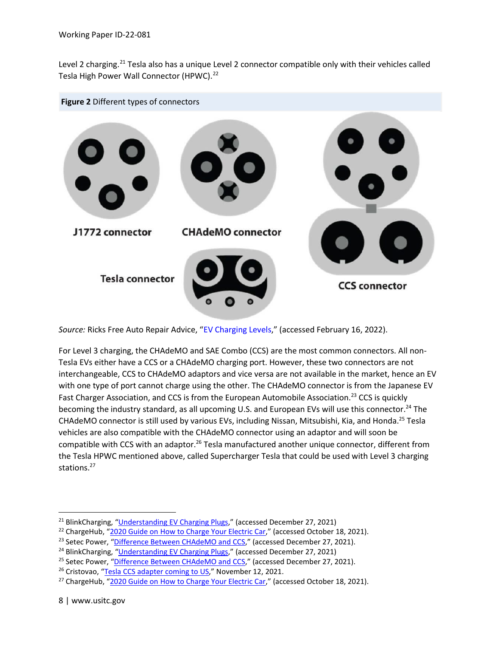Level 2 charging.<sup>[21](#page-7-0)</sup> Tesla also has a unique Level 2 connector compatible only with their vehicles called Tesla High Power Wall Connector (HPWC).<sup>[22](#page-7-1)</sup>



*Source:* Ricks Free Auto Repair Advice, ["EV Charging Levels,](https://ricksfreeautorepairadvice.com/ev-charging-levels/)" (accessed February 16, 2022).

For Level 3 charging, the CHAdeMO and SAE Combo (CCS) are the most common connectors. All non-Tesla EVs either have a CCS or a CHAdeMO charging port. However, these two connectors are not interchangeable, CCS to CHAdeMO adaptors and vice versa are not available in the market, hence an EV with one type of port cannot charge using the other. The CHAdeMO connector is from the Japanese EV Fast Charger Association, and CCS is from the European Automobile Association.<sup>23</sup> CCS is quickly becoming the industry standard, as all upcoming U.S. and European EVs will use this connector.<sup>24</sup> The CHAdeMO connector is still used by various EVs, including Nissan, Mitsubishi, Kia, and Honda.<sup>25</sup> Tesla vehicles are also compatible with the CHAdeMO connector using an adaptor and will soon be compatible with CCS with an adaptor.<sup>26</sup> Tesla manufactured another unique connector, different from the Tesla HPWC mentioned above, called Supercharger Tesla that could be used with Level 3 charging stations.<sup>27</sup>

<span id="page-7-0"></span><sup>&</sup>lt;sup>21</sup> BlinkCharging, ["Understanding EV Charging Plugs,](https://blinkcharging.com/understanding-ev-charging-plugs/)" (accessed December 27, 2021)

<span id="page-7-1"></span><sup>&</sup>lt;sup>22</sup> ChargeHub, ["2020 Guide on How to Charge Your Electric Car,](https://chargehub.com/en/electric-car-charging-guide.html)" (accessed October 18, 2021).

<sup>&</sup>lt;sup>23</sup> Setec Power, ["Difference Between CHAdeMO and CCS,](https://www.setec-power.com/difference-between-chademo-and-ccs/)" (accessed December 27, 2021).

<sup>&</sup>lt;sup>24</sup> BlinkCharging, ["Understanding EV Charging Plugs,](https://blinkcharging.com/understanding-ev-charging-plugs/)" (accessed December 27, 2021)

<sup>&</sup>lt;sup>25</sup> Setec Power, ["Difference Between](https://www.setec-power.com/difference-between-chademo-and-ccs/) CHAdeMO and CCS," (accessed December 27, 2021).

<sup>&</sup>lt;sup>26</sup> Cristovao, ["Tesla CCS adapter coming to US,"](https://www.notateslaapp.com/news/634/tesla-ccs-adapter-coming-to-us-will-your-car-support-it) November 12, 2021.

<sup>&</sup>lt;sup>27</sup> ChargeHub, ["2020 Guide on How to Charge Your Electric Car,](https://chargehub.com/en/electric-car-charging-guide.html)" (accessed October 18, 2021).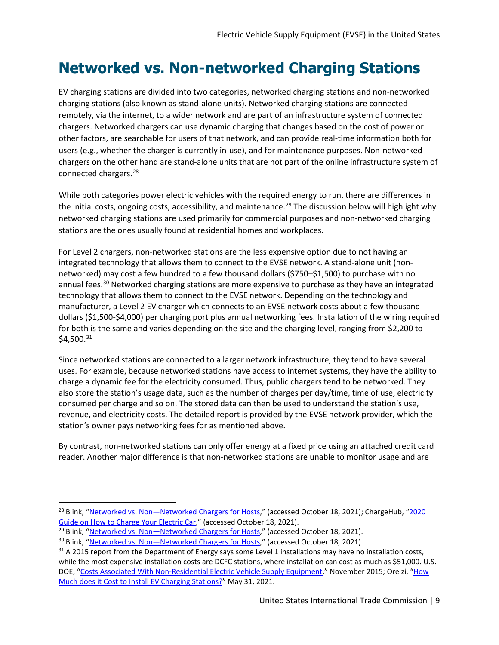# **Networked vs. Non-networked Charging Stations**

EV charging stations are divided into two categories, networked charging stations and non-networked charging stations (also known as stand-alone units). Networked charging stations are connected remotely, via the internet, to a wider network and are part of an infrastructure system of connected chargers. Networked chargers can use dynamic charging that changes based on the cost of power or other factors, are searchable for users of that network, and can provide real-time information both for users (e.g., whether the charger is currently in-use), and for maintenance purposes. Non-networked chargers on the other hand are stand-alone units that are not part of the online infrastructure system of connected chargers.[28](#page-8-0)

While both categories power electric vehicles with the required energy to run, there are differences in the initial costs, ongoing costs, accessibility, and maintenance.<sup>[29](#page-8-1)</sup> The discussion below will highlight why networked charging stations are used primarily for commercial purposes and non-networked charging stations are the ones usually found at residential homes and workplaces.

For Level 2 chargers, non-networked stations are the less expensive option due to not having an integrated technology that allows them to connect to the EVSE network. A stand-alone unit (nonnetworked) may cost a few hundred to a few thousand dollars (\$750–\$1,500) to purchase with no annual fees.<sup>[30](#page-8-2)</sup> Networked charging stations are more expensive to purchase as they have an integrated technology that allows them to connect to the EVSE network. Depending on the technology and manufacturer, a Level 2 EV charger which connects to an EVSE network costs about a few thousand dollars (\$1,500-\$4,000) per charging port plus annual networking fees. Installation of the wiring required for both is the same and varies depending on the site and the charging level, ranging from \$2,200 to  $$4,500.<sup>31</sup>$  $$4,500.<sup>31</sup>$  $$4,500.<sup>31</sup>$ 

Since networked stations are connected to a larger network infrastructure, they tend to have several uses. For example, because networked stations have access to internet systems, they have the ability to charge a dynamic fee for the electricity consumed. Thus, public chargers tend to be networked. They also store the station's usage data, such as the number of charges per day/time, time of use, electricity consumed per charge and so on. The stored data can then be used to understand the station's use, revenue, and electricity costs. The detailed report is provided by the EVSE network provider, which the station's owner pays networking fees for as mentioned above.

By contrast, non-networked stations can only offer energy at a fixed price using an attached credit card reader. Another major difference is that non-networked stations are unable to monitor usage and are

<span id="page-8-0"></span><sup>&</sup>lt;sup>28</sup> Blink, "Networked vs. Non-Networked Chargers for Hosts," (accessed October 18, 2021); ChargeHub, "2020 [Guide on How to Charge Your Electric Car,"](https://chargehub.com/en/electric-car-charging-guide.html) (accessed October 18, 2021).

<span id="page-8-1"></span><sup>&</sup>lt;sup>29</sup> Blink, "Networked vs. Non-Networked Chargers for Hosts," (accessed October 18, 2021).

<span id="page-8-2"></span><sup>&</sup>lt;sup>30</sup> Blink, "Networked vs. Non-Networked Chargers for Hosts," (accessed October 18, 2021).

<span id="page-8-3"></span> $31$  A 2015 report from the Department of Energy says some Level 1 installations may have no installation costs, while the most expensive installation costs are DCFC stations, where installation can cost as much as \$51,000. U.S. DOE, ["Costs Associated With Non-Residential Electric Vehicle Supply Equipment,](https://afdc.energy.gov/files/u/publication/evse_cost_report_2015.pdf)" November 2015; Oreizi, "How [Much does it Cost to Install EV Charging Stations?"](https://www.chargedfuture.com/cost-to-install-ev-charging-stations/) May 31, 2021.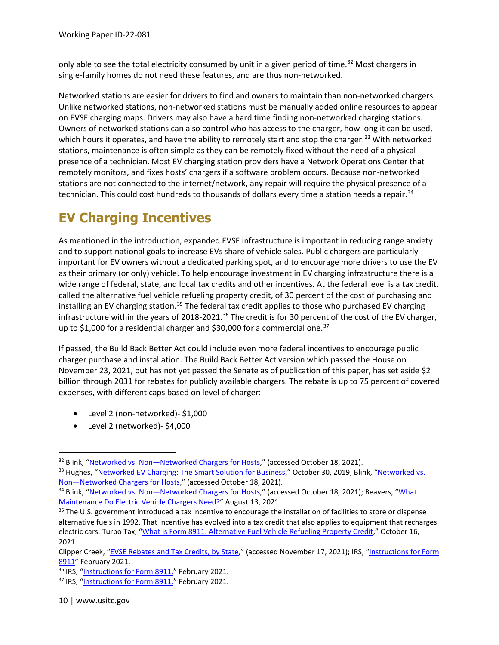only able to see the total electricity consumed by unit in a given period of time.<sup>[32](#page-9-0)</sup> Most chargers in single-family homes do not need these features, and are thus non-networked.

Networked stations are easier for drivers to find and owners to maintain than non-networked chargers. Unlike networked stations, non-networked stations must be manually added online resources to appear on EVSE charging maps. Drivers may also have a hard time finding non-networked charging stations. Owners of networked stations can also control who has access to the charger, how long it can be used, which hours it operates, and have the ability to remotely start and stop the charger.<sup>[33](#page-9-1)</sup> With networked stations, maintenance is often simple as they can be remotely fixed without the need of a physical presence of a technician. Most EV charging station providers have a Network Operations Center that remotely monitors, and fixes hosts' chargers if a software problem occurs. Because non-networked stations are not connected to the internet/network, any repair will require the physical presence of a technician. This could cost hundreds to thousands of dollars every time a station needs a repair.<sup>[34](#page-9-2)</sup>

# **EV Charging Incentives**

As mentioned in the introduction, expanded EVSE infrastructure is important in reducing range anxiety and to support national goals to increase EVs share of vehicle sales. Public chargers are particularly important for EV owners without a dedicated parking spot, and to encourage more drivers to use the EV as their primary (or only) vehicle. To help encourage investment in EV charging infrastructure there is a wide range of federal, state, and local tax credits and other incentives. At the federal level is a tax credit, called the alternative fuel vehicle refueling property credit, of 30 percent of the cost of purchasing and installing an EV charging station.<sup>[35](#page-9-3)</sup> The federal tax credit applies to those who purchased EV charging infrastructure within the years of 2018-2021.<sup>[36](#page-9-4)</sup> The credit is for 30 percent of the cost of the EV charger, up to \$1,000 for a residential charger and \$30,000 for a commercial one.<sup>[37](#page-9-5)</sup>

If passed, the Build Back Better Act could include even more federal incentives to encourage public charger purchase and installation. The Build Back Better Act version which passed the House on November 23, 2021, but has not yet passed the Senate as of publication of this paper, has set aside \$2 billion through 2031 for rebates for publicly available chargers. The rebate is up to 75 percent of covered expenses, with different caps based on level of charger:

- Level 2 (non-networked)- \$1,000
- Level 2 (networked)- \$4,000

<span id="page-9-0"></span><sup>&</sup>lt;sup>32</sup> Blink, "Networked vs. Non-Networked Chargers for Hosts," (accessed October 18, 2021).

<span id="page-9-1"></span><sup>&</sup>lt;sup>33</sup> Hughes, ["Networked EV Charging: The Smart Solution for Business,](https://www.chargepoint.com/blog/networked-ev-charging-smart-solution-business-0/)" October 30, 2019; Blink, "Networked vs. Non-Networked Chargers for Hosts," (accessed October 18, 2021).

<span id="page-9-2"></span><sup>&</sup>lt;sup>34</sup> Blink, "Networked vs. Non-Networked Chargers for Hosts," (accessed October 18, 2021); Beavers, "What [Maintenance Do Electric Vehicle Chargers Need?"](https://wiretechcompany.com/2021/08/13/electric-charger-maintenance/) August 13, 2021.

<span id="page-9-3"></span><sup>&</sup>lt;sup>35</sup> The U.S. government introduced a tax incentive to encourage the installation of facilities to store or dispense alternative fuels in 1992. That incentive has evolved into a tax credit that also applies to equipment that recharges electric cars. Turbo Tax, ["What is Form 8911: Alternative Fuel Vehicle Refueling Property Credit,](https://turbotax.intuit.com/tax-tips/going-green/what-is-form-8911-alternative-fuel-vehicle-refueling-property-credit/L3MRAZHho)" October 16, 2021.

Clipper Creek, ["EVSE Rebates and Tax Credits, by State,](https://clippercreek.com/evse-rebates-and-tax-credits-by-state/)" (accessed November 17, 2021); IRS, ["Instructions for Form](https://www.irs.gov/instructions/i8911)  [8911"](https://www.irs.gov/instructions/i8911) February 2021.

<span id="page-9-4"></span><sup>&</sup>lt;sup>36</sup> IRS, ["Instructions for Form 8911,"](https://www.irs.gov/instructions/i8911) February 2021.

<span id="page-9-5"></span><sup>&</sup>lt;sup>37</sup> IRS, ["Instructions for Form 8911,"](https://www.irs.gov/instructions/i8911) February 2021.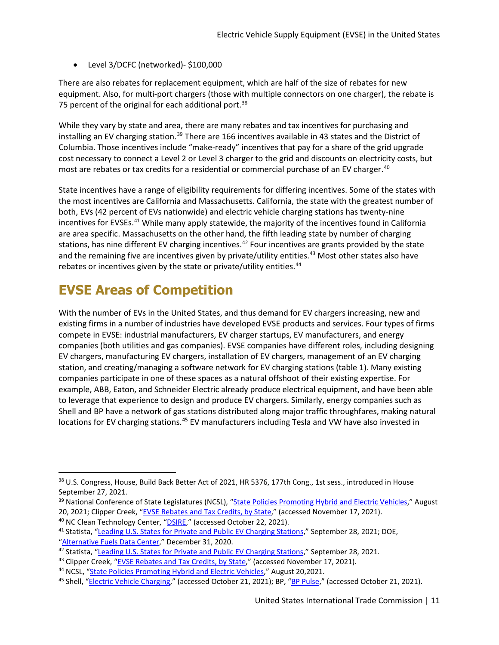• Level 3/DCFC (networked)- \$100,000

There are also rebates for replacement equipment, which are half of the size of rebates for new equipment. Also, for multi-port chargers (those with multiple connectors on one charger), the rebate is 75 percent of the original for each additional port.<sup>[38](#page-10-0)</sup>

While they vary by state and area, there are many rebates and tax incentives for purchasing and installing an EV charging station.<sup>[39](#page-10-1)</sup> There are 166 incentives available in 43 states and the District of Columbia. Those incentives include "make-ready" incentives that pay for a share of the grid upgrade cost necessary to connect a Level 2 or Level 3 charger to the grid and discounts on electricity costs, but most are rebates or tax credits for a residential or commercial purchase of an EV charger.<sup>[40](#page-10-2)</sup>

State incentives have a range of eligibility requirements for differing incentives. Some of the states with the most incentives are California and Massachusetts. California, the state with the greatest number of both, EVs (42 percent of EVs nationwide) and electric vehicle charging stations has twenty-nine incentives for EVSEs.<sup>[41](#page-10-3)</sup> While many apply statewide, the majority of the incentives found in California are area specific. Massachusetts on the other hand, the fifth leading state by number of charging stations, has nine different EV charging incentives.<sup>[42](#page-10-4)</sup> Four incentives are grants provided by the state and the remaining five are incentives given by private/utility entities.<sup>[43](#page-10-5)</sup> Most other states also have rebates or incentives given by the state or private/utility entities.<sup>[44](#page-10-6)</sup>

# **EVSE Areas of Competition**

With the number of EVs in the United States, and thus demand for EV chargers increasing, new and existing firms in a number of industries have developed EVSE products and services. Four types of firms compete in EVSE: industrial manufacturers, EV charger startups, EV manufacturers, and energy companies (both utilities and gas companies). EVSE companies have different roles, including designing EV chargers, manufacturing EV chargers, installation of EV chargers, management of an EV charging station, and creating/managing a software network for EV charging stations (table 1). Many existing companies participate in one of these spaces as a natural offshoot of their existing expertise. For example, ABB, Eaton, and Schneider Electric already produce electrical equipment, and have been able to leverage that experience to design and produce EV chargers. Similarly, energy companies such as Shell and BP have a network of gas stations distributed along major traffic throughfares, making natural locations for EV charging stations.<sup>[45](#page-10-7)</sup> EV manufacturers including Tesla and VW have also invested in

<span id="page-10-0"></span><sup>38</sup> U.S. Congress, House, Build Back Better Act of 2021, HR 5376, 177th Cong., 1st sess., introduced in House September 27, 2021.<br><sup>39</sup> National Conference of State Legislatures (NCSL), ["State Policies Promoting Hybrid and Electric Vehicles,](https://www.ncsl.org/research/energy/state-electric-vehicle-incentives-state-chart.aspx)" August

<span id="page-10-1"></span><sup>20, 2021;</sup> Clipper Creek, ["EVSE Rebates and Tax Credits, by State,](https://clippercreek.com/evse-rebates-and-tax-credits-by-state/)" (accessed November 17, 2021). <sup>40</sup> NC Clean Technology Center, ["DSIRE,"](https://programs.dsireusa.org/system/program) (accessed October 22, 2021).

<span id="page-10-3"></span><span id="page-10-2"></span><sup>&</sup>lt;sup>41</sup> Statista, ["Leading U.S. States for Private and Public EV Charging Stations,"](https://www.statista.com/statistics/416735/leading-us-states-for-electric-vehicle-charging-stations-and-outlets/) September 28, 2021; DOE, ["Alternative Fuels Data Center,"](https://afdc.energy.gov/data/10962) December 31, 2020.

<span id="page-10-4"></span><sup>42</sup> Statista, ["Leading U.S. States for Private and Public EV Charging Stations,"](https://www.statista.com/statistics/416735/leading-us-states-for-electric-vehicle-charging-stations-and-outlets/) September 28, 2021.

<span id="page-10-5"></span><sup>&</sup>lt;sup>43</sup> Clipper Creek, ["EVSE Rebates and Tax Credits, by State,](https://clippercreek.com/evse-rebates-and-tax-credits-by-state/)" (accessed November 17, 2021).

<span id="page-10-6"></span><sup>&</sup>lt;sup>44</sup> NCSL, ["State Policies Promoting Hybrid and Electric Vehicles,](https://www.ncsl.org/research/energy/state-electric-vehicle-incentives-state-chart.aspx)" August 20,2021.

<span id="page-10-7"></span><sup>&</sup>lt;sup>45</sup> Shell, ["Electric Vehicle Charging,](https://www.shell.com/energy-and-innovation/new-energies/electric-vehicle-charging.html)" (accessed October 21, 2021); BP, ["BP Pulse,](https://bpchargemaster.com/)" (accessed October 21, 2021).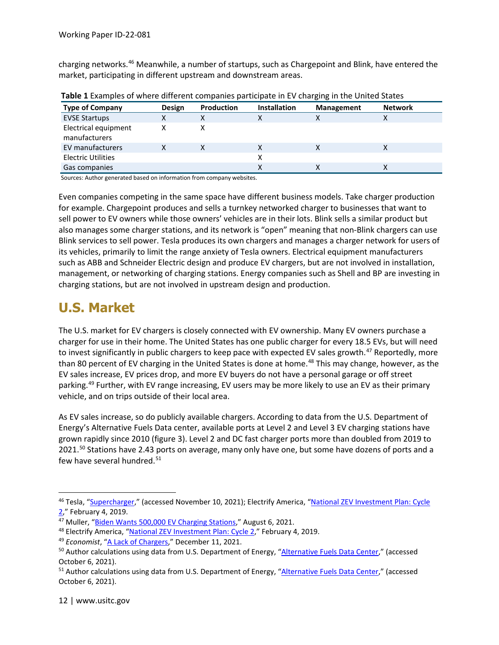charging networks.[46](#page-11-0) Meanwhile, a number of startups, such as Chargepoint and Blink, have entered the market, participating in different upstream and downstream areas.

| <b>Type of Company</b>                | <b>Design</b> | <b>Production</b> | <b>Installation</b> | <b>Management</b> | <b>Network</b> |
|---------------------------------------|---------------|-------------------|---------------------|-------------------|----------------|
| <b>EVSE Startups</b>                  | х             |                   |                     | х                 |                |
| Electrical equipment<br>manufacturers |               |                   |                     |                   |                |
| EV manufacturers                      |               |                   |                     | х                 |                |
| <b>Electric Utilities</b>             |               |                   |                     |                   |                |
| Gas companies                         |               |                   |                     | v<br>∧            |                |

**Table 1** Examples of where different companies participate in EV charging in the United States

Sources: Author generated based on information from company websites.

Even companies competing in the same space have different business models. Take charger production for example. Chargepoint produces and sells a turnkey networked charger to businesses that want to sell power to EV owners while those owners' vehicles are in their lots. Blink sells a similar product but also manages some charger stations, and its network is "open" meaning that non-Blink chargers can use Blink services to sell power. Tesla produces its own chargers and manages a charger network for users of its vehicles, primarily to limit the range anxiety of Tesla owners. Electrical equipment manufacturers such as ABB and Schneider Electric design and produce EV chargers, but are not involved in installation, management, or networking of charging stations. Energy companies such as Shell and BP are investing in charging stations, but are not involved in upstream design and production.

### **U.S. Market**

The U.S. market for EV chargers is closely connected with EV ownership. Many EV owners purchase a charger for use in their home. The United States has one public charger for every 18.5 EVs, but will need to invest significantly in public chargers to keep pace with expected EV sales growth.<sup>[47](#page-11-1)</sup> Reportedly, more than 80 percent of EV charging in the United States is done at home.<sup>[48](#page-11-2)</sup> This may change, however, as the EV sales increase, EV prices drop, and more EV buyers do not have a personal garage or off street parking.<sup>[49](#page-11-3)</sup> Further, with EV range increasing, EV users may be more likely to use an EV as their primary vehicle, and on trips outside of their local area.

As EV sales increase, so do publicly available chargers. According to data from the U.S. Department of Energy's Alternative Fuels Data center, available ports at Level 2 and Level 3 EV charging stations have grown rapidly since 2010 (figure 3). Level 2 and DC fast charger ports more than doubled from 2019 to 2021.<sup>[50](#page-11-4)</sup> Stations have 2.43 ports on average, many only have one, but some have dozens of ports and a few have several hundred.<sup>[51](#page-11-5)</sup>

<span id="page-11-0"></span><sup>&</sup>lt;sup>46</sup> Tesla, ["Supercharger,](https://www.tesla.com/supercharger)" (accessed November 10, 2021); Electrify America, "National ZEV Investment Plan: Cycle [2,](https://www.electrifyamerica.com/assets/pdf/Cycle%202%20National%20ZEV%20Investment%20Plan%20-%20Public%20Version%20vF.50bb1fe0.pdf)" February 4, 2019.

<span id="page-11-1"></span><sup>&</sup>lt;sup>47</sup> Muller, ["Biden Wants 500,000 EV Charging Stations,"](https://www.axios.com/electric-vehicle-charging-stations-equity-1b00f7a6-f87a-4125-9bc0-82399663b345.html) August 6, 2021.

<span id="page-11-2"></span><sup>48</sup> Electrify America, ["National ZEV Investment Plan: Cycle 2,"](https://www.electrifyamerica.com/assets/pdf/Cycle%202%20National%20ZEV%20Investment%20Plan%20-%20Public%20Version%20vF.50bb1fe0.pdf) February 4, 2019.

<span id="page-11-3"></span><sup>&</sup>lt;sup>49</sup> Economist, ["A Lack of Chargers,"](https://www.economist.com/business/a-lack-of-chargers-could-stall-the-electric-vehicle-revolution/21806663) December 11, 2021.

<span id="page-11-4"></span><sup>&</sup>lt;sup>50</sup> Author calculations using data from U.S. Department of Energy, ["Alternative Fuels Data Center,](https://afdc.energy.gov/fuels/electricity_locations.html)" (accessed October 6, 2021).

<span id="page-11-5"></span><sup>&</sup>lt;sup>51</sup> Author calculations using data from U.S. Department of Energy, ["Alternative Fuels Data Center,](https://afdc.energy.gov/fuels/electricity_locations.html)" (accessed October 6, 2021).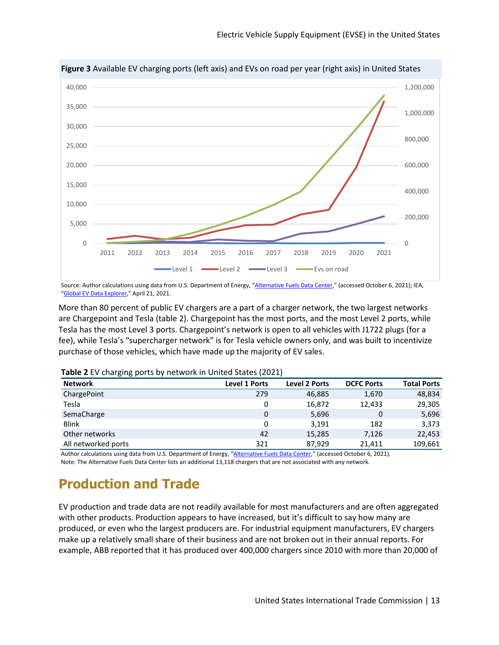

Source: Author calculations using data from U.S. Department of Energy, ["Alternative Fuels Data Center,](https://afdc.energy.gov/fuels/electricity_locations.html)" (accessed October 6, 2021); IEA, ["Global EV Data Explorer,"](https://www.iea.org/articles/global-ev-data-explorer) April 21, 2021.

More than 80 percent of public EV chargers are a part of a charger network, the two largest networks are Chargepoint and Tesla (table 2). Chargepoint has the most ports, and the most Level 2 ports, while Tesla has the most Level 3 ports. Chargepoint's network is open to all vehicles with J1722 plugs (for a fee), while Tesla's "supercharger network" is for Tesla vehicle owners only, and was built to incentivize purchase of those vehicles, which have made up the majority of EV sales.

| <b>Network</b>      | Level 1 Ports | <b>Level 2 Ports</b> | <b>DCFC Ports</b> | <b>Total Ports</b> |
|---------------------|---------------|----------------------|-------------------|--------------------|
| ChargePoint         | 279           | 46,885               | 1,670             | 48,834             |
| Tesla               | 0             | 16,872               | 12,433            | 29,305             |
| SemaCharge          | $\mathbf{0}$  | 5,696                |                   | 5,696              |
| <b>Blink</b>        | 0             | 3,191                | 182               | 3,373              |
| Other networks      | 42            | 15,285               | 7,126             | 22,453             |
| All networked ports | 321           | 87.929               | 21.411            | 109,661            |

**Table 2** EV charging ports by network in United States (2021)

Author calculations using data from U.S. Department of Energy, ["Alternative Fuels Data Center,"](https://afdc.energy.gov/fuels/electricity_locations.html) (accessed October 6, 2021). Note: The Alternative Fuels Data Center lists an additional 13,118 chargers that are not associated with any network.

# **Production and Trade**

EV production and trade data are not readily available for most manufacturers and are often aggregated with other products. Production appears to have increased, but it's difficult to say how many are produced, or even who the largest producers are. For industrial equipment manufacturers, EV chargers make up a relatively small share of their business and are not broken out in their annual reports. For example, ABB reported that it has produced over 400,000 chargers since 2010 with more than 20,000 of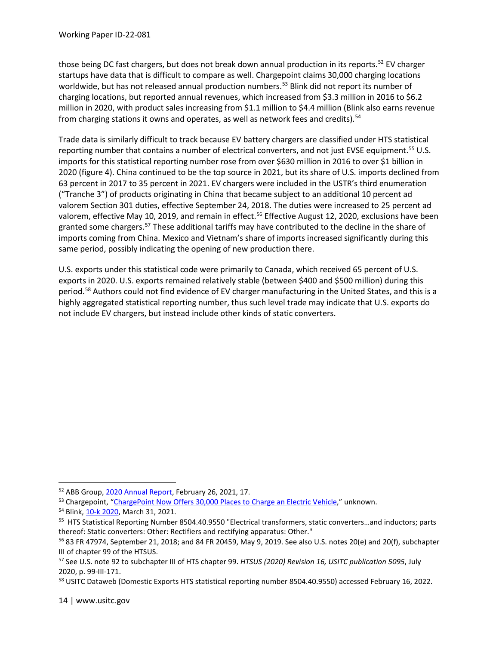those being DC fast chargers, but does not break down annual production in its reports.<sup>[52](#page-13-0)</sup> EV charger startups have data that is difficult to compare as well. Chargepoint claims 30,000 charging locations worldwide, but has not released annual production numbers.<sup>53</sup> Blink did not report its number of charging locations, but reported annual revenues, which increased from \$3.3 million in 2016 to \$6.2 million in 2020, with product sales increasing from \$1.1 million to \$4.4 million (Blink also earns revenue from charging stations it owns and operates, as well as network fees and credits).<sup>[54](#page-13-2)</sup>

Trade data is similarly difficult to track because EV battery chargers are classified under HTS statistical reporting number that contains a number of electrical converters, and not just EVSE equipment.<sup>[55](#page-13-3)</sup> U.S. imports for this statistical reporting number rose from over \$630 million in 2016 to over \$1 billion in 2020 (figure 4). China continued to be the top source in 2021, but its share of U.S. imports declined from 63 percent in 2017 to 35 percent in 2021. EV chargers were included in the USTR's third enumeration ("Tranche 3") of products originating in China that became subject to an additional 10 percent ad valorem Section 301 duties, effective September 24, 2018. The duties were increased to 25 percent ad valorem, effective May 10, 2019, and remain in effect.<sup>[56](#page-13-4)</sup> Effective August 12, 2020, exclusions have been granted some chargers.<sup>[57](#page-13-5)</sup> These additional tariffs may have contributed to the decline in the share of imports coming from China. Mexico and Vietnam's share of imports increased significantly during this same period, possibly indicating the opening of new production there.

U.S. exports under this statistical code were primarily to Canada, which received 65 percent of U.S. exports in 2020. U.S. exports remained relatively stable (between \$400 and \$500 million) during this period.<sup>[58](#page-13-6)</sup> Authors could not find evidence of EV charger manufacturing in the United States, and this is a highly aggregated statistical reporting number, thus such level trade may indicate that U.S. exports do not include EV chargers, but instead include other kinds of static converters.

<span id="page-13-0"></span><sup>52</sup> ABB Group, [2020 Annual Report,](https://library.e.abb.com/public/305be2f706ee48b9a358899427f77d13/ABB-Group-Annual-Report-2020-English.pdf?x-sign=pBjfe1d93rcEnkA0tBprk+YyEErEGXFFNbCBZNQw9TJ+2SZ9mx68Ev7Gy9TMn9EW) February 26, 2021, 17.

<span id="page-13-1"></span><sup>53</sup> Chargepoint, ["ChargePoint Now Offers 30,000 Places to Charge an Electric Vehicle,](https://www.chargepoint.com/about/news/chargepoint-now-offers-30000-places-charge-electric-vehicle/)" unknown.

<span id="page-13-2"></span><sup>54</sup> Blink[, 10-k 2020,](https://ir.blinkcharging.com/sec-filings/all-sec-filings/content/0001493152-21-007550/form10-k.htm) March 31, 2021.

<span id="page-13-3"></span><sup>&</sup>lt;sup>55</sup> HTS Statistical Reporting Number 8504.40.9550 "Electrical transformers, static converters...and inductors; parts thereof: Static converters: Other: Rectifiers and rectifying apparatus: Other."

<span id="page-13-4"></span> $56$  83 FR 47974, September 21, 2018; and 84 FR 20459, May 9, 2019. See also U.S. notes 20(e) and 20(f), subchapter III of chapter 99 of the HTSUS.

<span id="page-13-5"></span><sup>57</sup> See U.S. note 92 to subchapter III of HTS chapter 99. *HTSUS (2020) Revision 16, USITC publication 5095*, July 2020, p. 99-III-171.<br><sup>58</sup> USITC Dataweb (Domestic Exports HTS statistical reporting number 8504.40.9550) accessed February 16, 2022.

<span id="page-13-6"></span>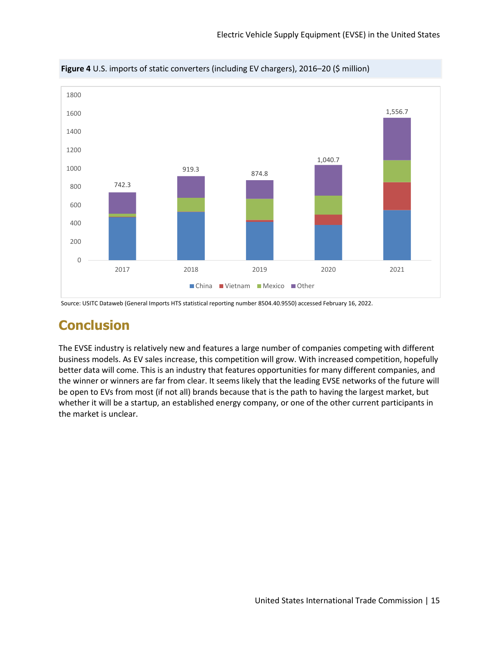

**Figure 4** U.S. imports of static converters (including EV chargers), 2016–20 (\$ million)

# **Conclusion**

The EVSE industry is relatively new and features a large number of companies competing with different business models. As EV sales increase, this competition will grow. With increased competition, hopefully better data will come. This is an industry that features opportunities for many different companies, and the winner or winners are far from clear. It seems likely that the leading EVSE networks of the future will be open to EVs from most (if not all) brands because that is the path to having the largest market, but whether it will be a startup, an established energy company, or one of the other current participants in the market is unclear.

Source: USITC Dataweb (General Imports HTS statistical reporting number 8504.40.9550) accessed February 16, 2022.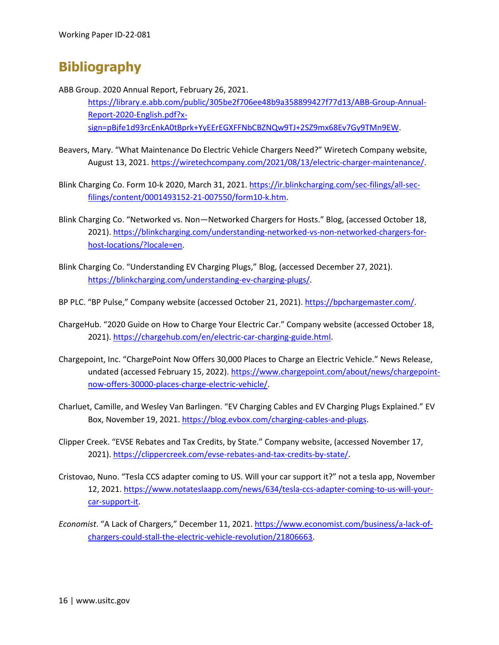# **Bibliography**

ABB Group. 2020 Annual Report, February 26, 2021. [https://library.e.abb.com/public/305be2f706ee48b9a358899427f77d13/ABB-Group-Annual-](https://library.e.abb.com/public/305be2f706ee48b9a358899427f77d13/ABB-Group-Annual-Report-2020-English.pdf?x-sign=pBjfe1d93rcEnkA0tBprk+YyEErEGXFFNbCBZNQw9TJ+2SZ9mx68Ev7Gy9TMn9EW)[Report-2020-English.pdf?x](https://library.e.abb.com/public/305be2f706ee48b9a358899427f77d13/ABB-Group-Annual-Report-2020-English.pdf?x-sign=pBjfe1d93rcEnkA0tBprk+YyEErEGXFFNbCBZNQw9TJ+2SZ9mx68Ev7Gy9TMn9EW)[sign=pBjfe1d93rcEnkA0tBprk+YyEErEGXFFNbCBZNQw9TJ+2SZ9mx68Ev7Gy9TMn9EW.](https://library.e.abb.com/public/305be2f706ee48b9a358899427f77d13/ABB-Group-Annual-Report-2020-English.pdf?x-sign=pBjfe1d93rcEnkA0tBprk+YyEErEGXFFNbCBZNQw9TJ+2SZ9mx68Ev7Gy9TMn9EW)

- Beavers, Mary. "What Maintenance Do Electric Vehicle Chargers Need?" Wiretech Company website, August 13, 2021. [https://wiretechcompany.com/2021/08/13/electric-charger-maintenance/.](https://wiretechcompany.com/2021/08/13/electric-charger-maintenance/)
- Blink Charging Co. Form 10-k 2020, March 31, 2021. [https://ir.blinkcharging.com/sec-filings/all-sec](https://ir.blinkcharging.com/sec-filings/all-sec-filings/content/0001493152-21-007550/form10-k.htm)[filings/content/0001493152-21-007550/form10-k.htm.](https://ir.blinkcharging.com/sec-filings/all-sec-filings/content/0001493152-21-007550/form10-k.htm)
- Blink Charging Co. "Networked vs. Non—Networked Chargers for Hosts." Blog, (accessed October 18, 2021). [https://blinkcharging.com/understanding-networked-vs-non-networked-chargers-for](https://blinkcharging.com/understanding-networked-vs-non-networked-chargers-for-host-locations/?locale=en)[host-locations/?locale=en.](https://blinkcharging.com/understanding-networked-vs-non-networked-chargers-for-host-locations/?locale=en)
- Blink Charging Co. "Understanding EV Charging Plugs," Blog, (accessed December 27, 2021). [https://blinkcharging.com/understanding-ev-charging-plugs/.](https://blinkcharging.com/understanding-ev-charging-plugs/)
- BP PLC. "BP Pulse," Company website (accessed October 21, 2021). [https://bpchargemaster.com/.](https://bpchargemaster.com/)
- ChargeHub. "2020 Guide on How to Charge Your Electric Car." Company website (accessed October 18, 2021). [https://chargehub.com/en/electric-car-charging-guide.html.](https://chargehub.com/en/electric-car-charging-guide.html)
- Chargepoint, Inc. "ChargePoint Now Offers 30,000 Places to Charge an Electric Vehicle." News Release, undated (accessed February 15, 2022)[. https://www.chargepoint.com/about/news/chargepoint](https://www.chargepoint.com/about/news/chargepoint-now-offers-30000-places-charge-electric-vehicle/)[now-offers-30000-places-charge-electric-vehicle/.](https://www.chargepoint.com/about/news/chargepoint-now-offers-30000-places-charge-electric-vehicle/)
- Charluet, Camille, and Wesley Van Barlingen. "EV Charging Cables and EV Charging Plugs Explained." EV Box, November 19, 2021. [https://blog.evbox.com/charging-cables-and-plugs.](https://blog.evbox.com/charging-cables-and-plugs)
- Clipper Creek. "EVSE Rebates and Tax Credits, by State." Company website, (accessed November 17, 2021). [https://clippercreek.com/evse-rebates-and-tax-credits-by-state/.](https://clippercreek.com/evse-rebates-and-tax-credits-by-state/)
- Cristovao, Nuno. "Tesla CCS adapter coming to US. Will your car support it?" not a tesla app, November 12, 2021. [https://www.notateslaapp.com/news/634/tesla-ccs-adapter-coming-to-us-will-your](https://www.notateslaapp.com/news/634/tesla-ccs-adapter-coming-to-us-will-your-car-support-it)[car-support-it.](https://www.notateslaapp.com/news/634/tesla-ccs-adapter-coming-to-us-will-your-car-support-it)
- *Economist*. "A Lack of Chargers," December 11, 2021. [https://www.economist.com/business/a-lack-of](https://www.economist.com/business/a-lack-of-chargers-could-stall-the-electric-vehicle-revolution/21806663)[chargers-could-stall-the-electric-vehicle-revolution/21806663.](https://www.economist.com/business/a-lack-of-chargers-could-stall-the-electric-vehicle-revolution/21806663)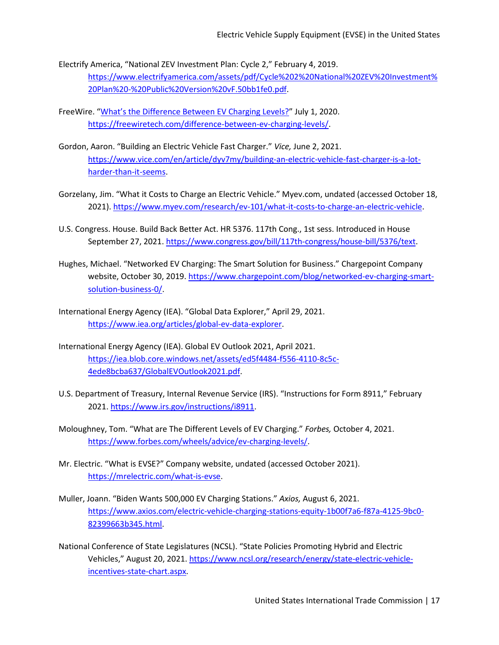- Electrify America, "National ZEV Investment Plan: Cycle 2," February 4, 2019. [https://www.electrifyamerica.com/assets/pdf/Cycle%202%20National%20ZEV%20Investment%](https://www.electrifyamerica.com/assets/pdf/Cycle%202%20National%20ZEV%20Investment%20Plan%20-%20Public%20Version%20vF.50bb1fe0.pdf) [20Plan%20-%20Public%20Version%20vF.50bb1fe0.pdf.](https://www.electrifyamerica.com/assets/pdf/Cycle%202%20National%20ZEV%20Investment%20Plan%20-%20Public%20Version%20vF.50bb1fe0.pdf)
- FreeWire. ["What's the Difference Between EV Charging Levels?"](https://freewiretech.com/difference-between-ev-charging-levels/) July 1, 2020. [https://freewiretech.com/difference-between-ev-charging-levels/.](https://freewiretech.com/difference-between-ev-charging-levels/)
- Gordon, Aaron. "Building an Electric Vehicle Fast Charger." *Vice,* June 2, 2021. [https://www.vice.com/en/article/dyv7my/building-an-electric-vehicle-fast-charger-is-a-lot](https://www.vice.com/en/article/dyv7my/building-an-electric-vehicle-fast-charger-is-a-lot-harder-than-it-seems)[harder-than-it-seems.](https://www.vice.com/en/article/dyv7my/building-an-electric-vehicle-fast-charger-is-a-lot-harder-than-it-seems)
- Gorzelany, Jim. "What it Costs to Charge an Electric Vehicle." Myev.com, undated (accessed October 18, 2021). [https://www.myev.com/research/ev-101/what-it-costs-to-charge-an-electric-vehicle.](https://www.myev.com/research/ev-101/what-it-costs-to-charge-an-electric-vehicle)
- U.S. Congress. House. Build Back Better Act. HR 5376. 117th Cong., 1st sess. Introduced in House September 27, 2021. [https://www.congress.gov/bill/117th-congress/house-bill/5376/text.](https://www.congress.gov/bill/117th-congress/house-bill/5376/text)
- Hughes, Michael. "Networked EV Charging: The Smart Solution for Business." Chargepoint Company website, October 30, 2019. [https://www.chargepoint.com/blog/networked-ev-charging-smart](https://www.chargepoint.com/blog/networked-ev-charging-smart-solution-business-0/)[solution-business-0/.](https://www.chargepoint.com/blog/networked-ev-charging-smart-solution-business-0/)
- International Energy Agency (IEA). "Global Data Explorer," April 29, 2021. [https://www.iea.org/articles/global-ev-data-explorer.](https://www.iea.org/articles/global-ev-data-explorer)
- International Energy Agency (IEA). Global EV Outlook 2021, April 2021. [https://iea.blob.core.windows.net/assets/ed5f4484-f556-4110-8c5c-](https://iea.blob.core.windows.net/assets/ed5f4484-f556-4110-8c5c-4ede8bcba637/GlobalEVOutlook2021.pdf)[4ede8bcba637/GlobalEVOutlook2021.pdf.](https://iea.blob.core.windows.net/assets/ed5f4484-f556-4110-8c5c-4ede8bcba637/GlobalEVOutlook2021.pdf)
- U.S. Department of Treasury, Internal Revenue Service (IRS). "Instructions for Form 8911," February 2021. [https://www.irs.gov/instructions/i8911.](https://www.irs.gov/instructions/i8911)
- Moloughney, Tom. "What are The Different Levels of EV Charging." *Forbes,* October 4, 2021. [https://www.forbes.com/wheels/advice/ev-charging-levels/.](https://www.forbes.com/wheels/advice/ev-charging-levels/)
- Mr. Electric. "What is EVSE?" Company website, undated (accessed October 2021). [https://mrelectric.com/what-is-evse.](https://mrelectric.com/what-is-evse)
- Muller, Joann. "Biden Wants 500,000 EV Charging Stations." *Axios,* August 6, 2021. [https://www.axios.com/electric-vehicle-charging-stations-equity-1b00f7a6-f87a-4125-9bc0-](https://www.axios.com/electric-vehicle-charging-stations-equity-1b00f7a6-f87a-4125-9bc0-82399663b345.html) [82399663b345.html.](https://www.axios.com/electric-vehicle-charging-stations-equity-1b00f7a6-f87a-4125-9bc0-82399663b345.html)

National Conference of State Legislatures (NCSL). "State Policies Promoting Hybrid and Electric Vehicles," August 20, 2021. [https://www.ncsl.org/research/energy/state-electric-vehicle](https://www.ncsl.org/research/energy/state-electric-vehicle-incentives-state-chart.aspx)[incentives-state-chart.aspx.](https://www.ncsl.org/research/energy/state-electric-vehicle-incentives-state-chart.aspx)